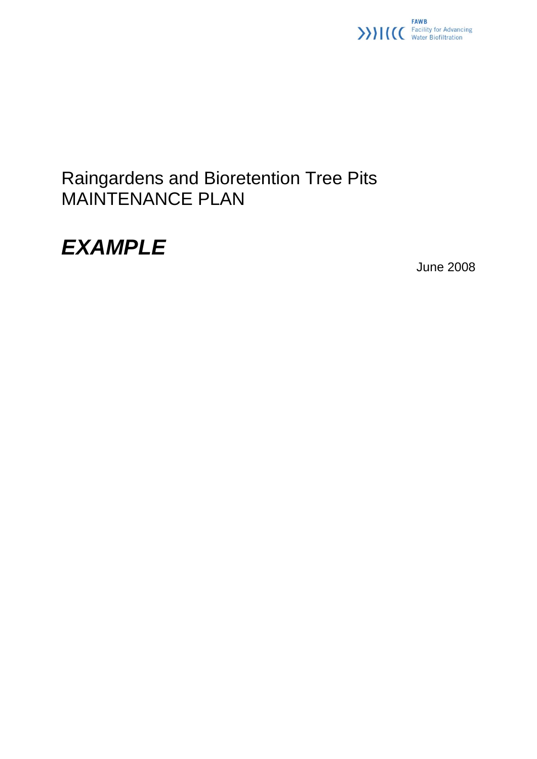

### Raingardens and Bioretention Tree Pits MAINTENANCE PLAN

## *EXAMPLE*

June 2008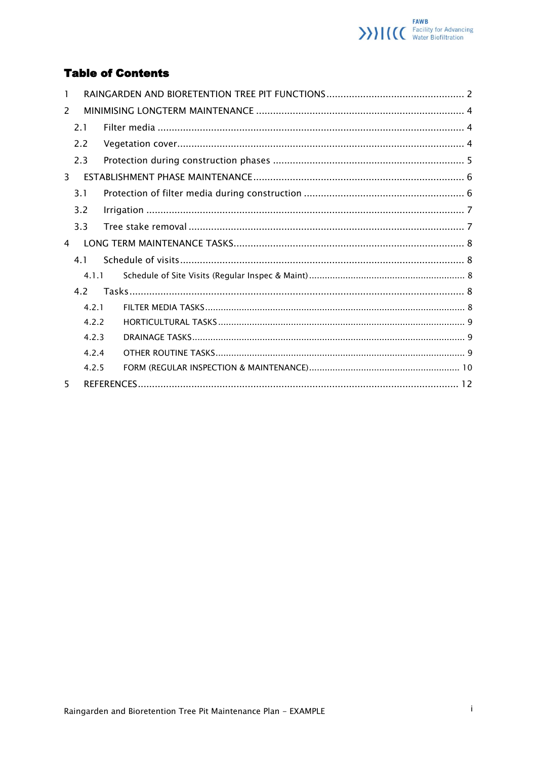

#### **Table of Contents**

| 1  |     |       |  |
|----|-----|-------|--|
| 2  |     |       |  |
|    | 2.1 |       |  |
|    | 2.2 |       |  |
|    | 2.3 |       |  |
| 3  |     |       |  |
|    | 3.1 |       |  |
|    | 3.2 |       |  |
|    | 3.3 |       |  |
| 4  |     |       |  |
|    | 4.1 |       |  |
|    |     | 4.1.1 |  |
|    | 4.2 |       |  |
|    |     | 4.2.1 |  |
|    |     | 4.2.2 |  |
|    |     | 4.2.3 |  |
|    |     | 4.2.4 |  |
|    |     | 4.2.5 |  |
| 5. |     |       |  |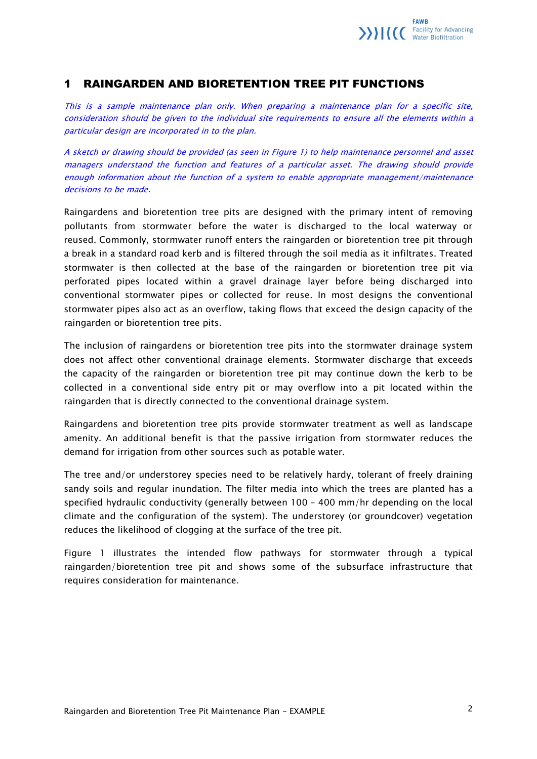

#### <span id="page-2-0"></span>1 RAINGARDEN AND BIORETENTION TREE PIT FUNCTIONS

This is a sample maintenance plan only. When preparing a maintenance plan for a specific site, consideration should be given to the individual site requirements to ensure all the elements within a particular design are incorporated in to the plan.

A sketch or drawing should be provided (as seen in Figure 1) to help maintenance personnel and asset managers understand the function and features of a particular asset. The drawing should provide enough information about the function of a system to enable appropriate management/maintenance decisions to be made.

Raingardens and bioretention tree pits are designed with the primary intent of removing pollutants from stormwater before the water is discharged to the local waterway or reused. Commonly, stormwater runoff enters the raingarden or bioretention tree pit through a break in a standard road kerb and is filtered through the soil media as it infiltrates. Treated stormwater is then collected at the base of the raingarden or bioretention tree pit via perforated pipes located within a gravel drainage layer before being discharged into conventional stormwater pipes or collected for reuse. In most designs the conventional stormwater pipes also act as an overflow, taking flows that exceed the design capacity of the raingarden or bioretention tree pits.

The inclusion of raingardens or bioretention tree pits into the stormwater drainage system does not affect other conventional drainage elements. Stormwater discharge that exceeds the capacity of the raingarden or bioretention tree pit may continue down the kerb to be collected in a conventional side entry pit or may overflow into a pit located within the raingarden that is directly connected to the conventional drainage system.

Raingardens and bioretention tree pits provide stormwater treatment as well as landscape amenity. An additional benefit is that the passive irrigation from stormwater reduces the demand for irrigation from other sources such as potable water.

The tree and/or understorey species need to be relatively hardy, tolerant of freely draining sandy soils and regular inundation. The filter media into which the trees are planted has a specified hydraulic conductivity (generally between 100 – 400 mm/hr depending on the local climate and the configuration of the system). The understorey (or groundcover) vegetation reduces the likelihood of clogging at the surface of the tree pit.

Figure 1 illustrates the intended flow pathways for stormwater through a typical raingarden/bioretention tree pit and shows some of the subsurface infrastructure that requires consideration for maintenance.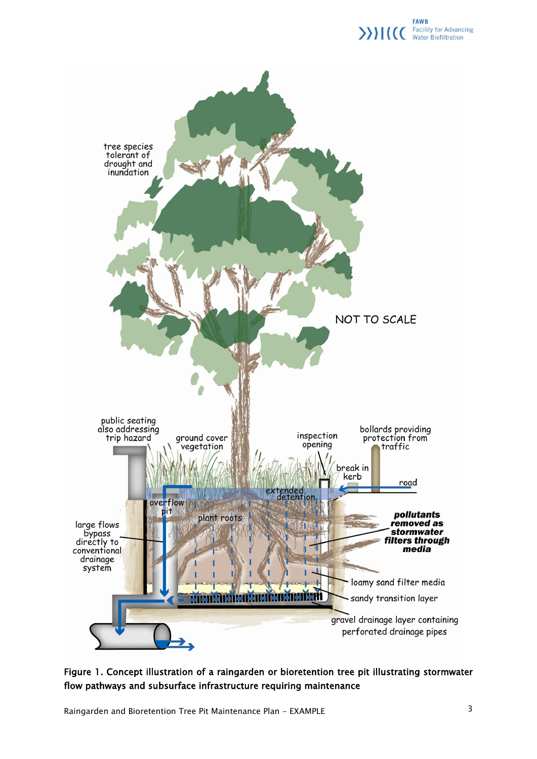



Figure 1. Concept illustration of a raingarden or bioretention tree pit illustrating stormwater flow pathways and subsurface infrastructure requiring maintenance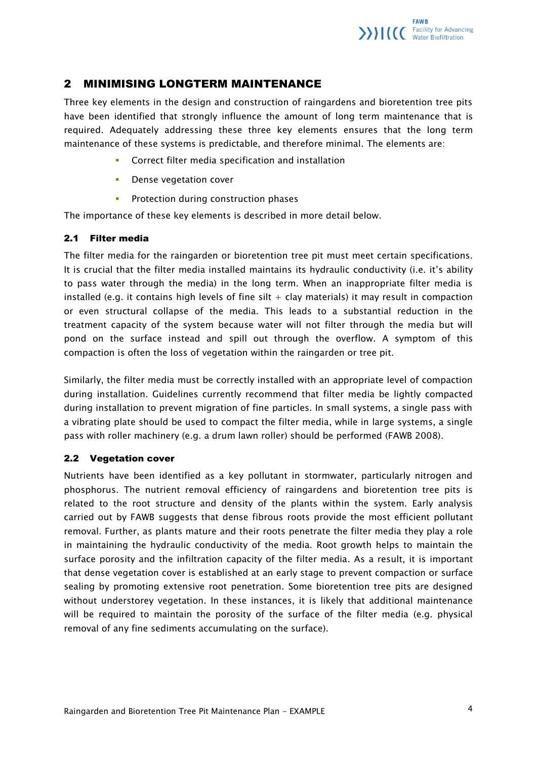#### <span id="page-4-0"></span>2 MINIMISING LONGTERM MAINTENANCE

Three key elements in the design and construction of raingardens and bioretention tree pits have been identified that strongly influence the amount of long term maintenance that is required. Adequately addressing these three key elements ensures that the long term maintenance of these systems is predictable, and therefore minimal. The elements are:

- **Correct filter media specification and installation**
- **Dense vegetation cover**
- **•** Protection during construction phases

<span id="page-4-1"></span>The importance of these key elements is described in more detail below.

#### 2.1 Filter media

The filter media for the raingarden or bioretention tree pit must meet certain specifications. It is crucial that the filter media installed maintains its hydraulic conductivity (i.e. it's ability to pass water through the media) in the long term. When an inappropriate filter media is installed (e.g. it contains high levels of fine silt  $+$  clay materials) it may result in compaction or even structural collapse of the media. This leads to a substantial reduction in the treatment capacity of the system because water will not filter through the media but will pond on the surface instead and spill out through the overflow. A symptom of this compaction is often the loss of vegetation within the raingarden or tree pit.

Similarly, the filter media must be correctly installed with an appropriate level of compaction during installation. Guidelines currently recommend that filter media be lightly compacted during installation to prevent migration of fine particles. In small systems, a single pass with a vibrating plate should be used to compact the filter media, while in large systems, a single pass with roller machinery (e.g. a drum lawn roller) should be performed (FAWB 2008).

#### <span id="page-4-2"></span>2.2 Vegetation cover

Nutrients have been identified as a key pollutant in stormwater, particularly nitrogen and phosphorus. The nutrient removal efficiency of raingardens and bioretention tree pits is related to the root structure and density of the plants within the system. Early analysis carried out by FAWB suggests that dense fibrous roots provide the most efficient pollutant removal. Further, as plants mature and their roots penetrate the filter media they play a role in maintaining the hydraulic conductivity of the media. Root growth helps to maintain the surface porosity and the infiltration capacity of the filter media. As a result, it is important that dense vegetation cover is established at an early stage to prevent compaction or surface sealing by promoting extensive root penetration. Some bioretention tree pits are designed without understorey vegetation. In these instances, it is likely that additional maintenance will be required to maintain the porosity of the surface of the filter media (e.g. physical removal of any fine sediments accumulating on the surface).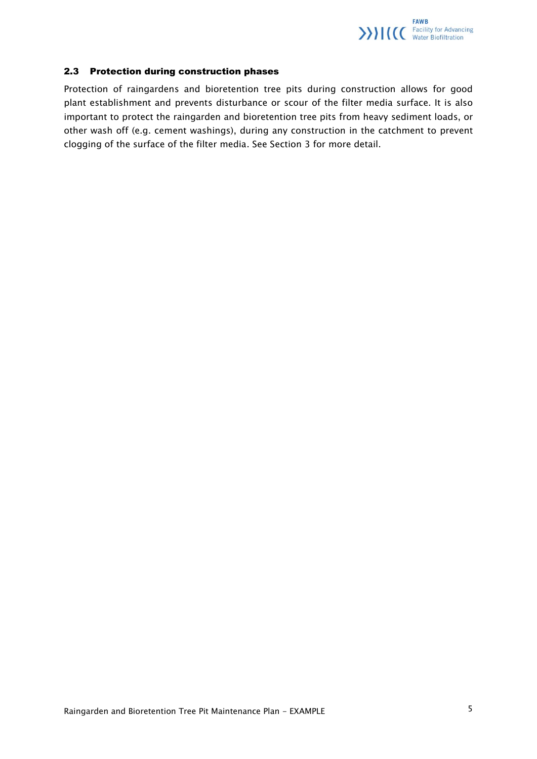

#### 2.3 Protection during construction phases

<span id="page-5-0"></span>Protection of raingardens and bioretention tree pits during construction allows for good plant establishment and prevents disturbance or scour of the filter media surface. It is also important to protect the raingarden and bioretention tree pits from heavy sediment loads, or other wash off (e.g. cement washings), during any construction in the catchment to prevent clogging of the surface of the filter media. See Section 3 for more detail.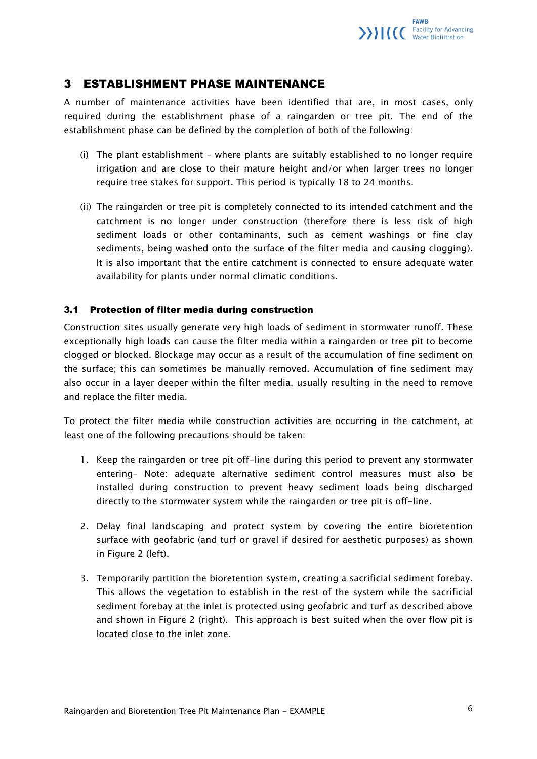#### <span id="page-6-0"></span>3 ESTABLISHMENT PHASE MAINTENANCE

A number of maintenance activities have been identified that are, in most cases, only required during the establishment phase of a raingarden or tree pit. The end of the establishment phase can be defined by the completion of both of the following:

- (i) The plant establishment where plants are suitably established to no longer require irrigation and are close to their mature height and/or when larger trees no longer require tree stakes for support. This period is typically 18 to 24 months.
- (ii) The raingarden or tree pit is completely connected to its intended catchment and the catchment is no longer under construction (therefore there is less risk of high sediment loads or other contaminants, such as cement washings or fine clay sediments, being washed onto the surface of the filter media and causing clogging). It is also important that the entire catchment is connected to ensure adequate water availability for plants under normal climatic conditions.

#### <span id="page-6-1"></span>3.1 Protection of filter media during construction

Construction sites usually generate very high loads of sediment in stormwater runoff. These exceptionally high loads can cause the filter media within a raingarden or tree pit to become clogged or blocked. Blockage may occur as a result of the accumulation of fine sediment on the surface; this can sometimes be manually removed. Accumulation of fine sediment may also occur in a layer deeper within the filter media, usually resulting in the need to remove and replace the filter media.

To protect the filter media while construction activities are occurring in the catchment, at least one of the following precautions should be taken:

- 1. Keep the raingarden or tree pit off-line during this period to prevent any stormwater entering– Note: adequate alternative sediment control measures must also be installed during construction to prevent heavy sediment loads being discharged directly to the stormwater system while the raingarden or tree pit is off-line.
- 2. Delay final landscaping and protect system by covering the entire bioretention surface with geofabric (and turf or gravel if desired for aesthetic purposes) as shown in Figure 2 (left).
- 3. Temporarily partition the bioretention system, creating a sacrificial sediment forebay. This allows the vegetation to establish in the rest of the system while the sacrificial sediment forebay at the inlet is protected using geofabric and turf as described above and shown in Figure 2 (right). This approach is best suited when the over flow pit is located close to the inlet zone.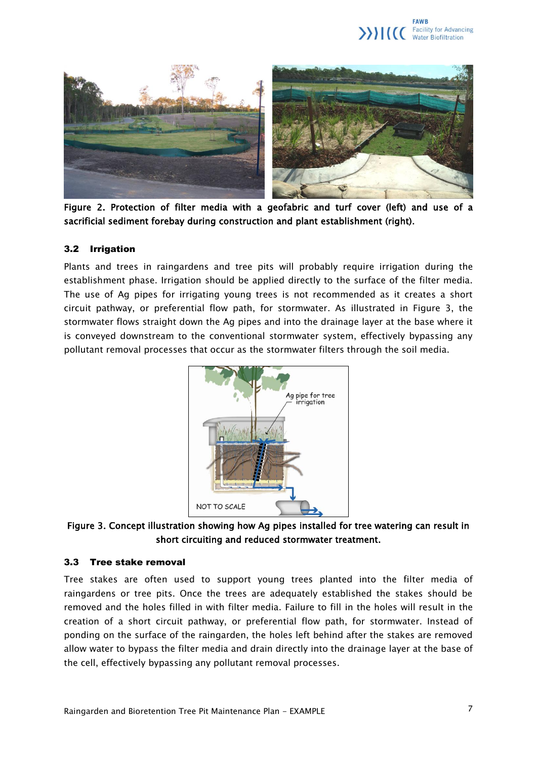



Figure 2. Protection of filter media with a geofabric and turf cover (left) and use of a sacrificial sediment forebay during construction and plant establishment (right).

#### <span id="page-7-0"></span>3.2 Irrigation

Plants and trees in raingardens and tree pits will probably require irrigation during the establishment phase. Irrigation should be applied directly to the surface of the filter media. The use of Ag pipes for irrigating young trees is not recommended as it creates a short circuit pathway, or preferential flow path, for stormwater. As illustrated in Figure 3, the stormwater flows straight down the Ag pipes and into the drainage layer at the base where it is conveyed downstream to the conventional stormwater system, effectively bypassing any pollutant removal processes that occur as the stormwater filters through the soil media.



Figure 3. Concept illustration showing how Ag pipes installed for tree watering can result in short circuiting and reduced stormwater treatment.

#### <span id="page-7-1"></span>3.3 Tree stake removal

Tree stakes are often used to support young trees planted into the filter media of raingardens or tree pits. Once the trees are adequately established the stakes should be removed and the holes filled in with filter media. Failure to fill in the holes will result in the creation of a short circuit pathway, or preferential flow path, for stormwater. Instead of ponding on the surface of the raingarden, the holes left behind after the stakes are removed allow water to bypass the filter media and drain directly into the drainage layer at the base of the cell, effectively bypassing any pollutant removal processes.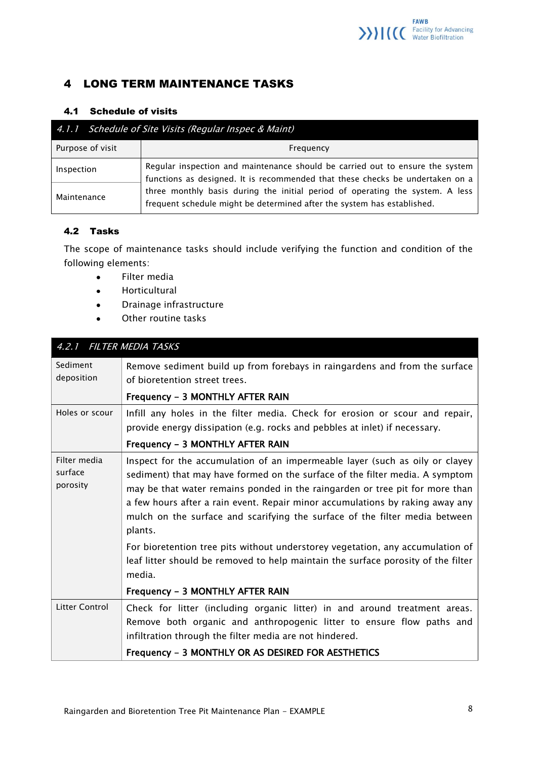

#### <span id="page-8-0"></span>4 LONG TERM MAINTENANCE TASKS

#### <span id="page-8-1"></span>4.1 Schedule of visits

<span id="page-8-2"></span>

| 4.1.1 Schedule of Site Visits (Regular Inspec & Maint) |                                                                                                                                                                                                                                                                                                                            |  |  |  |  |  |
|--------------------------------------------------------|----------------------------------------------------------------------------------------------------------------------------------------------------------------------------------------------------------------------------------------------------------------------------------------------------------------------------|--|--|--|--|--|
| Purpose of visit                                       | Frequency                                                                                                                                                                                                                                                                                                                  |  |  |  |  |  |
| Inspection                                             | Regular inspection and maintenance should be carried out to ensure the system<br>functions as designed. It is recommended that these checks be undertaken on a<br>three monthly basis during the initial period of operating the system. A less<br>frequent schedule might be determined after the system has established. |  |  |  |  |  |
| Maintenance                                            |                                                                                                                                                                                                                                                                                                                            |  |  |  |  |  |

#### <span id="page-8-3"></span>4.2 Tasks

The scope of maintenance tasks should include verifying the function and condition of the following elements:

- Filter media  $\bullet$
- Horticultural  $\bullet$
- Drainage infrastructure  $\bullet$
- Other routine tasks  $\bullet$

<span id="page-8-4"></span>

| 4.2.1 FILTER MEDIA TASKS            |                                                                                                                                                                                                                                                                                                                                                                                                                                                                                                                                                                                                |  |  |  |  |
|-------------------------------------|------------------------------------------------------------------------------------------------------------------------------------------------------------------------------------------------------------------------------------------------------------------------------------------------------------------------------------------------------------------------------------------------------------------------------------------------------------------------------------------------------------------------------------------------------------------------------------------------|--|--|--|--|
| Sediment<br>deposition              | Remove sediment build up from forebays in raingardens and from the surface<br>of bioretention street trees.                                                                                                                                                                                                                                                                                                                                                                                                                                                                                    |  |  |  |  |
|                                     | Frequency - 3 MONTHLY AFTER RAIN                                                                                                                                                                                                                                                                                                                                                                                                                                                                                                                                                               |  |  |  |  |
| Holes or scour                      | Infill any holes in the filter media. Check for erosion or scour and repair,<br>provide energy dissipation (e.g. rocks and pebbles at inlet) if necessary.                                                                                                                                                                                                                                                                                                                                                                                                                                     |  |  |  |  |
|                                     | Frequency - 3 MONTHLY AFTER RAIN                                                                                                                                                                                                                                                                                                                                                                                                                                                                                                                                                               |  |  |  |  |
| Filter media<br>surface<br>porosity | Inspect for the accumulation of an impermeable layer (such as oily or clayey<br>sediment) that may have formed on the surface of the filter media. A symptom<br>may be that water remains ponded in the raingarden or tree pit for more than<br>a few hours after a rain event. Repair minor accumulations by raking away any<br>mulch on the surface and scarifying the surface of the filter media between<br>plants.<br>For bioretention tree pits without understorey vegetation, any accumulation of<br>leaf litter should be removed to help maintain the surface porosity of the filter |  |  |  |  |
|                                     | media.                                                                                                                                                                                                                                                                                                                                                                                                                                                                                                                                                                                         |  |  |  |  |
|                                     | Frequency - 3 MONTHLY AFTER RAIN                                                                                                                                                                                                                                                                                                                                                                                                                                                                                                                                                               |  |  |  |  |
| Litter Control                      | Check for litter (including organic litter) in and around treatment areas.<br>Remove both organic and anthropogenic litter to ensure flow paths and<br>infiltration through the filter media are not hindered.                                                                                                                                                                                                                                                                                                                                                                                 |  |  |  |  |
|                                     | Frequency - 3 MONTHLY OR AS DESIRED FOR AESTHETICS                                                                                                                                                                                                                                                                                                                                                                                                                                                                                                                                             |  |  |  |  |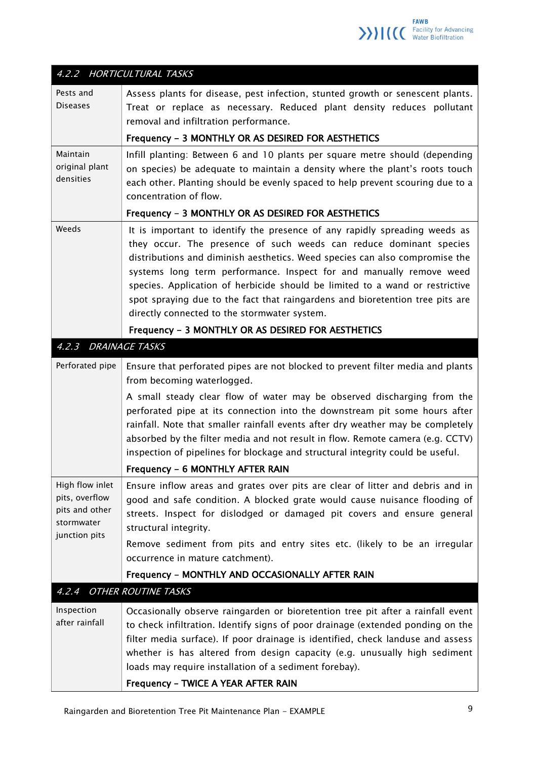

<span id="page-9-2"></span><span id="page-9-1"></span><span id="page-9-0"></span>

|                                                                                    | 4.2.2 HORTICULTURAL TASKS                                                                                                                                                                                                                                                                                                                                                                                                                                                                                                     |
|------------------------------------------------------------------------------------|-------------------------------------------------------------------------------------------------------------------------------------------------------------------------------------------------------------------------------------------------------------------------------------------------------------------------------------------------------------------------------------------------------------------------------------------------------------------------------------------------------------------------------|
| Pests and<br><b>Diseases</b>                                                       | Assess plants for disease, pest infection, stunted growth or senescent plants.<br>Treat or replace as necessary. Reduced plant density reduces pollutant<br>removal and infiltration performance.                                                                                                                                                                                                                                                                                                                             |
|                                                                                    | Frequency - 3 MONTHLY OR AS DESIRED FOR AESTHETICS                                                                                                                                                                                                                                                                                                                                                                                                                                                                            |
| Maintain<br>original plant<br>densities                                            | Infill planting: Between 6 and 10 plants per square metre should (depending<br>on species) be adequate to maintain a density where the plant's roots touch<br>each other. Planting should be evenly spaced to help prevent scouring due to a<br>concentration of flow.                                                                                                                                                                                                                                                        |
|                                                                                    | Frequency - 3 MONTHLY OR AS DESIRED FOR AESTHETICS                                                                                                                                                                                                                                                                                                                                                                                                                                                                            |
| Weeds                                                                              | It is important to identify the presence of any rapidly spreading weeds as<br>they occur. The presence of such weeds can reduce dominant species<br>distributions and diminish aesthetics. Weed species can also compromise the<br>systems long term performance. Inspect for and manually remove weed<br>species. Application of herbicide should be limited to a wand or restrictive<br>spot spraying due to the fact that raingardens and bioretention tree pits are<br>directly connected to the stormwater system.       |
|                                                                                    | Frequency - 3 MONTHLY OR AS DESIRED FOR AESTHETICS                                                                                                                                                                                                                                                                                                                                                                                                                                                                            |
| 4.2.3                                                                              | <b>DRAINAGE TASKS</b>                                                                                                                                                                                                                                                                                                                                                                                                                                                                                                         |
| Perforated pipe                                                                    | Ensure that perforated pipes are not blocked to prevent filter media and plants<br>from becoming waterlogged.<br>A small steady clear flow of water may be observed discharging from the<br>perforated pipe at its connection into the downstream pit some hours after<br>rainfall. Note that smaller rainfall events after dry weather may be completely<br>absorbed by the filter media and not result in flow. Remote camera (e.g. CCTV)<br>inspection of pipelines for blockage and structural integrity could be useful. |
|                                                                                    | Frequency - 6 MONTHLY AFTER RAIN                                                                                                                                                                                                                                                                                                                                                                                                                                                                                              |
| High flow inlet<br>pits, overflow<br>pits and other<br>stormwater<br>junction pits | Ensure inflow areas and grates over pits are clear of litter and debris and in<br>good and safe condition. A blocked grate would cause nuisance flooding of<br>streets. Inspect for dislodged or damaged pit covers and ensure general<br>structural integrity.<br>Remove sediment from pits and entry sites etc. (likely to be an irregular<br>occurrence in mature catchment).                                                                                                                                              |
|                                                                                    |                                                                                                                                                                                                                                                                                                                                                                                                                                                                                                                               |
|                                                                                    | Frequency - MONTHLY AND OCCASIONALLY AFTER RAIN                                                                                                                                                                                                                                                                                                                                                                                                                                                                               |
| 4.2.4                                                                              | <b>OTHER ROUTINE TASKS</b>                                                                                                                                                                                                                                                                                                                                                                                                                                                                                                    |
| Inspection<br>after rainfall                                                       | Occasionally observe raingarden or bioretention tree pit after a rainfall event<br>to check infiltration. Identify signs of poor drainage (extended ponding on the<br>filter media surface). If poor drainage is identified, check landuse and assess<br>whether is has altered from design capacity (e.g. unusually high sediment<br>loads may require installation of a sediment forebay).                                                                                                                                  |
|                                                                                    | Frequency - TWICE A YEAR AFTER RAIN                                                                                                                                                                                                                                                                                                                                                                                                                                                                                           |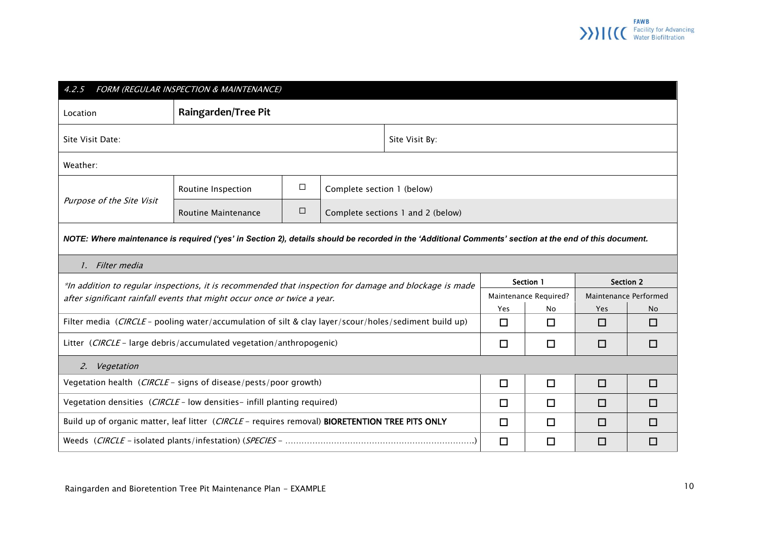<span id="page-10-0"></span>

| FORM (REGULAR INSPECTION & MAINTENANCE)<br>4.2.5                                                                                                       |                                                                                                        |        |                                   |  |                       |        |                       |        |  |
|--------------------------------------------------------------------------------------------------------------------------------------------------------|--------------------------------------------------------------------------------------------------------|--------|-----------------------------------|--|-----------------------|--------|-----------------------|--------|--|
| <b>Raingarden/Tree Pit</b><br>Location                                                                                                                 |                                                                                                        |        |                                   |  |                       |        |                       |        |  |
| Site Visit Date:<br>Site Visit By:                                                                                                                     |                                                                                                        |        |                                   |  |                       |        |                       |        |  |
| Weather:                                                                                                                                               |                                                                                                        |        |                                   |  |                       |        |                       |        |  |
|                                                                                                                                                        | Routine Inspection                                                                                     | $\Box$ | Complete section 1 (below)        |  |                       |        |                       |        |  |
| Purpose of the Site Visit                                                                                                                              | <b>Routine Maintenance</b>                                                                             | $\Box$ | Complete sections 1 and 2 (below) |  |                       |        |                       |        |  |
| NOTE: Where maintenance is required ('yes' in Section 2), details should be recorded in the 'Additional Comments' section at the end of this document. |                                                                                                        |        |                                   |  |                       |        |                       |        |  |
| 1. Filter media                                                                                                                                        |                                                                                                        |        |                                   |  |                       |        |                       |        |  |
|                                                                                                                                                        | *In addition to regular inspections, it is recommended that inspection for damage and blockage is made |        |                                   |  |                       |        | <b>Section 2</b>      |        |  |
| after significant rainfall events that might occur once or twice a year.                                                                               |                                                                                                        |        |                                   |  | Maintenance Required? |        | Maintenance Performed |        |  |
|                                                                                                                                                        |                                                                                                        |        |                                   |  | Yes                   | No     | Yes                   | No.    |  |
| Filter media (CIRCLE - pooling water/accumulation of silt & clay layer/scour/holes/sediment build up)<br>□                                             |                                                                                                        |        |                                   |  | $\Box$                | $\Box$ | □                     |        |  |
| Litter (CIRCLE - large debris/accumulated vegetation/anthropogenic)                                                                                    |                                                                                                        |        |                                   |  | $\Box$                | $\Box$ | $\Box$                | $\Box$ |  |
| Vegetation<br><sup>2.</sup>                                                                                                                            |                                                                                                        |        |                                   |  |                       |        |                       |        |  |
| Vegetation health (CIRCLE - signs of disease/pests/poor growth)                                                                                        |                                                                                                        |        |                                   |  | $\Box$                | $\Box$ | $\Box$                | □      |  |
| Vegetation densities (CIRCLE - low densities - infill planting required)                                                                               |                                                                                                        |        |                                   |  | □                     | $\Box$ | □                     | □      |  |
| Build up of organic matter, leaf litter (CIRCLE - requires removal) BIORETENTION TREE PITS ONLY                                                        |                                                                                                        |        |                                   |  | □                     | □      | □                     | □      |  |
|                                                                                                                                                        |                                                                                                        |        |                                   |  | $\Box$                | $\Box$ | $\Box$                | □      |  |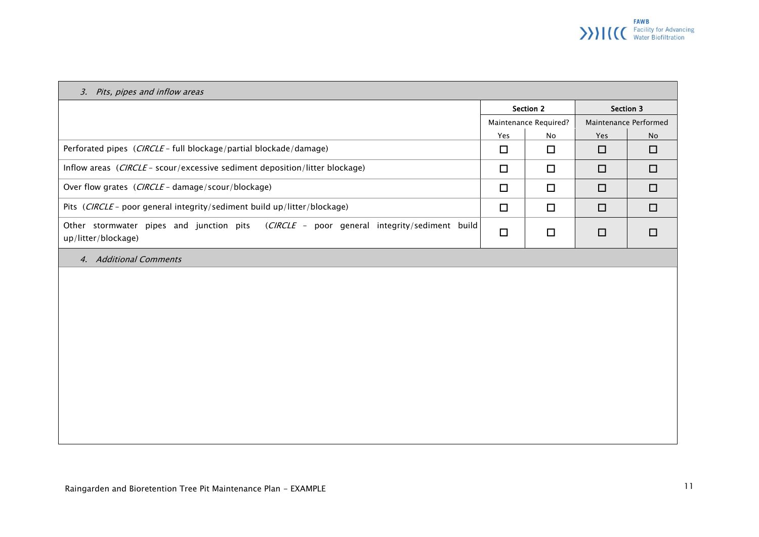# **FAWB**<br>
>>>>>> CCC Facility for Advancing

| 3. Pits, pipes and inflow areas                                                                                 |                       |               |                       |                  |  |  |  |
|-----------------------------------------------------------------------------------------------------------------|-----------------------|---------------|-----------------------|------------------|--|--|--|
|                                                                                                                 | <b>Section 2</b>      |               |                       | <b>Section 3</b> |  |  |  |
|                                                                                                                 | Maintenance Required? |               | Maintenance Performed |                  |  |  |  |
|                                                                                                                 | Yes                   | $\mathsf{No}$ | Yes                   | No               |  |  |  |
| Perforated pipes (CIRCLE - full blockage/partial blockade/damage)                                               | $\Box$                | $\Box$        | $\Box$                | $\Box$           |  |  |  |
| Inflow areas (CIRCLE - scour/excessive sediment deposition/litter blockage)                                     | $\Box$                | $\Box$        | $\Box$                | $\Box$           |  |  |  |
| Over flow grates (CIRCLE - damage/scour/blockage)                                                               | $\Box$                | $\Box$        | $\Box$                | $\Box$           |  |  |  |
| Pits (CIRCLE - poor general integrity/sediment build up/litter/blockage)                                        | $\Box$                | $\Box$        | $\Box$                | $\Box$           |  |  |  |
| Other stormwater pipes and junction pits (CIRCLE - poor general integrity/sediment build<br>up/litter/blockage) | $\Box$                | $\Box$        | $\Box$                | $\Box$           |  |  |  |
| 4. Additional Comments                                                                                          |                       |               |                       |                  |  |  |  |
|                                                                                                                 |                       |               |                       |                  |  |  |  |